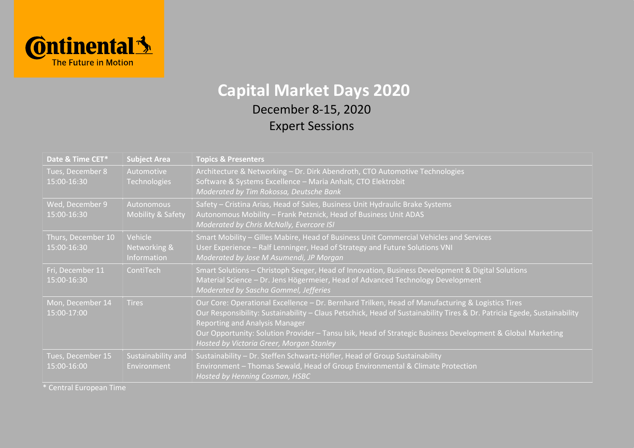

## **Capital Market Days 2020**

## December 8-15, 2020 Expert Sessions

| Date & Time CET*                  | <b>Subject Area</b>                        | <b>Topics &amp; Presenters</b>                                                                                                                                                                                                                                                                                                                                                                                                 |  |
|-----------------------------------|--------------------------------------------|--------------------------------------------------------------------------------------------------------------------------------------------------------------------------------------------------------------------------------------------------------------------------------------------------------------------------------------------------------------------------------------------------------------------------------|--|
| Tues, December 8<br>15:00-16:30   | Automotive<br><b>Technologies</b>          | Architecture & Networking - Dr. Dirk Abendroth, CTO Automotive Technologies<br>Software & Systems Excellence - Maria Anhalt, CTO Elektrobit<br>Moderated by Tim Rokossa, Deutsche Bank                                                                                                                                                                                                                                         |  |
| Wed, December 9<br>15:00-16:30    | Autonomous<br><b>Mobility &amp; Safety</b> | Safety - Cristina Arias, Head of Sales, Business Unit Hydraulic Brake Systems<br>Autonomous Mobility - Frank Petznick, Head of Business Unit ADAS<br>Moderated by Chris McNally, Evercore ISI                                                                                                                                                                                                                                  |  |
| Thurs, December 10<br>15:00-16:30 | Vehicle<br>Networking &<br>Information     | Smart Mobility - Gilles Mabire, Head of Business Unit Commercial Vehicles and Services<br>User Experience - Ralf Lenninger, Head of Strategy and Future Solutions VNI<br>Moderated by Jose M Asumendi, JP Morgan                                                                                                                                                                                                               |  |
| Fri, December 11<br>15:00-16:30   | ContiTech                                  | Smart Solutions - Christoph Seeger, Head of Innovation, Business Development & Digital Solutions<br>Material Science - Dr. Jens Högermeier, Head of Advanced Technology Development<br>Moderated by Sascha Gommel, Jefferies                                                                                                                                                                                                   |  |
| Mon, December 14<br>15:00-17:00   | <b>Tires</b>                               | Our Core: Operational Excellence - Dr. Bernhard Trilken, Head of Manufacturing & Logistics Tires<br>Our Responsibility: Sustainability - Claus Petschick, Head of Sustainability Tires & Dr. Patricia Egede, Sustainability<br><b>Reporting and Analysis Manager</b><br>Our Opportunity: Solution Provider - Tansu Isik, Head of Strategic Business Development & Global Marketing<br>Hosted by Victoria Greer, Morgan Stanley |  |
| Tues, December 15<br>15:00-16:00  | Sustainability and<br>Environment          | Sustainability - Dr. Steffen Schwartz-Höfler, Head of Group Sustainability<br>Environment - Thomas Sewald, Head of Group Environmental & Climate Protection<br>Hosted by Henning Cosman, HSBC                                                                                                                                                                                                                                  |  |

\* Central European Time